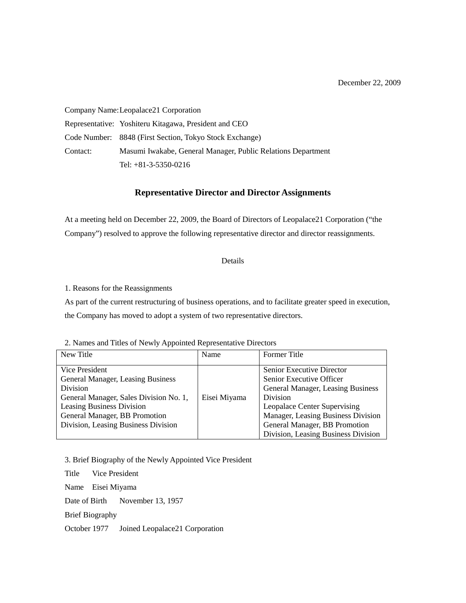Company Name:Leopalace21 Corporation Representative: Yoshiteru Kitagawa, President and CEO Code Number: 8848 (First Section, Tokyo Stock Exchange) Contact: Masumi Iwakabe, General Manager, Public Relations Department Tel: +81-3-5350-0216

## **Representative Director and Director Assignments**

At a meeting held on December 22, 2009, the Board of Directors of Leopalace21 Corporation ("the Company") resolved to approve the following representative director and director reassignments.

Details

1. Reasons for the Reassignments

As part of the current restructuring of business operations, and to facilitate greater speed in execution, the Company has moved to adopt a system of two representative directors.

2. Names and Titles of Newly Appointed Representative Directors

| New Title                              | Name         | <b>Former</b> Title                 |
|----------------------------------------|--------------|-------------------------------------|
|                                        |              |                                     |
| Vice President                         |              | Senior Executive Director           |
| General Manager, Leasing Business      |              | Senior Executive Officer            |
| <b>Division</b>                        |              | General Manager, Leasing Business   |
| General Manager, Sales Division No. 1, | Eisei Miyama | Division                            |
| <b>Leasing Business Division</b>       |              | Leopalace Center Supervising        |
| General Manager, BB Promotion          |              | Manager, Leasing Business Division  |
| Division, Leasing Business Division    |              | General Manager, BB Promotion       |
|                                        |              | Division, Leasing Business Division |

3. Brief Biography of the Newly Appointed Vice President

Title Vice President Name Eisei Miyama Date of Birth November 13, 1957 Brief Biography October 1977 Joined Leopalace21 Corporation